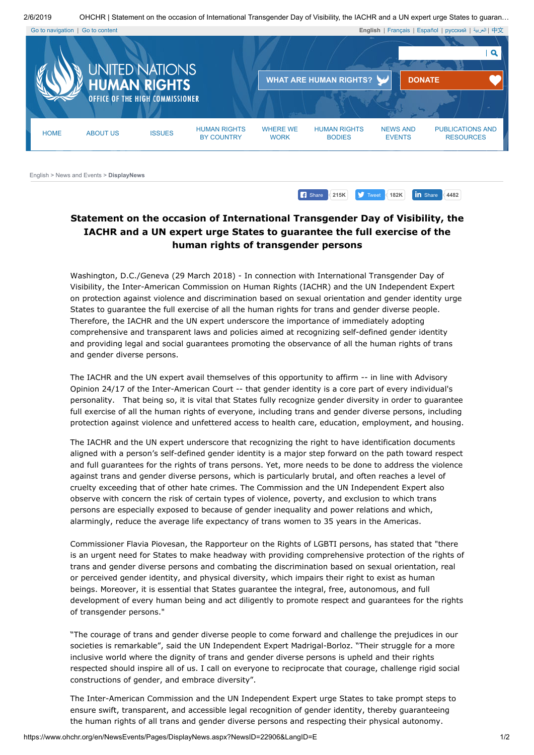2/6/2019 OHCHR | Statement on the occasion of International Transgender Day of Visibility, the IACHR and a UN expert urge States to guaran…



<span id="page-0-0"></span>Go to [navigation](#page-0-0) | Go to [content](#page-0-1) **English** | [Français](https://www.ohchr.org/FR) | [Español](https://www.ohchr.org/SP) | [русский](https://www.ohchr.org/RU) | [العربیة](https://www.ohchr.org/AR) | [中文](https://www.ohchr.org/CH)  $\overline{a}$ **WHAT ARE HUMAN [RIGHTS?](https://www.ohchr.org/EN/Issues/Pages/WhatareHumanRights.aspx) [DONATE](https://donatenow.ohchr.org/)** HOME ABOUT US ISSUES HUMAN RIGHTS WHERE WE HUMAN RIGHTS NEWS AND PUBLICATIONS AND BY COUNTRY **WORK BODIES** EVENTS RESOURCES [English](https://www.ohchr.org/EN/pages/home.aspx) > [News and Events](https://www.ohchr.org/EN/NewsEvents/Pages/Media.aspx?IsMediaPage=true) > **DisplayNews 182K 182K 182K 18** Share **4482** 

## <span id="page-0-1"></span>**Statement on the occasion of International Transgender Day of Visibility, the IACHR and a UN expert urge States to guarantee the full exercise of the human rights of transgender persons**

Washington, D.C./Geneva (29 March 2018) - In connection with International Transgender Day of Visibility, the Inter-American Commission on Human Rights (IACHR) and the UN Independent Expert on protection against violence and discrimination based on sexual orientation and gender identity urge States to guarantee the full exercise of all the human rights for trans and gender diverse people. Therefore, the IACHR and the UN expert underscore the importance of immediately adopting comprehensive and transparent laws and policies aimed at recognizing self-defined gender identity and providing legal and social guarantees promoting the observance of all the human rights of trans and gender diverse persons.

The IACHR and the UN expert avail themselves of this opportunity to affirm -- in line with Advisory Opinion 24/17 of the Inter-American Court -- that gender identity is a core part of every individual's personality. That being so, it is vital that States fully recognize gender diversity in order to guarantee full exercise of all the human rights of everyone, including trans and gender diverse persons, including protection against violence and unfettered access to health care, education, employment, and housing.

The IACHR and the UN expert underscore that recognizing the right to have identification documents aligned with a person's self-defined gender identity is a major step forward on the path toward respect and full guarantees for the rights of trans persons. Yet, more needs to be done to address the violence against trans and gender diverse persons, which is particularly brutal, and often reaches a level of cruelty exceeding that of other hate crimes. The Commission and the UN Independent Expert also observe with concern the risk of certain types of violence, poverty, and exclusion to which trans persons are especially exposed to because of gender inequality and power relations and which, alarmingly, reduce the average life expectancy of trans women to 35 years in the Americas.

Commissioner Flavia Piovesan, the Rapporteur on the Rights of LGBTI persons, has stated that "there is an urgent need for States to make headway with providing comprehensive protection of the rights of trans and gender diverse persons and combating the discrimination based on sexual orientation, real or perceived gender identity, and physical diversity, which impairs their right to exist as human beings. Moreover, it is essential that States guarantee the integral, free, autonomous, and full development of every human being and act diligently to promote respect and guarantees for the rights of transgender persons."

"The courage of trans and gender diverse people to come forward and challenge the prejudices in our societies is remarkable", said the UN Independent Expert Madrigal-Borloz. "Their struggle for a more inclusive world where the dignity of trans and gender diverse persons is upheld and their rights respected should inspire all of us. I call on everyone to reciprocate that courage, challenge rigid social constructions of gender, and embrace diversity".

The Inter-American Commission and the UN Independent Expert urge States to take prompt steps to ensure swift, transparent, and accessible legal recognition of gender identity, thereby guaranteeing the human rights of all trans and gender diverse persons and respecting their physical autonomy.